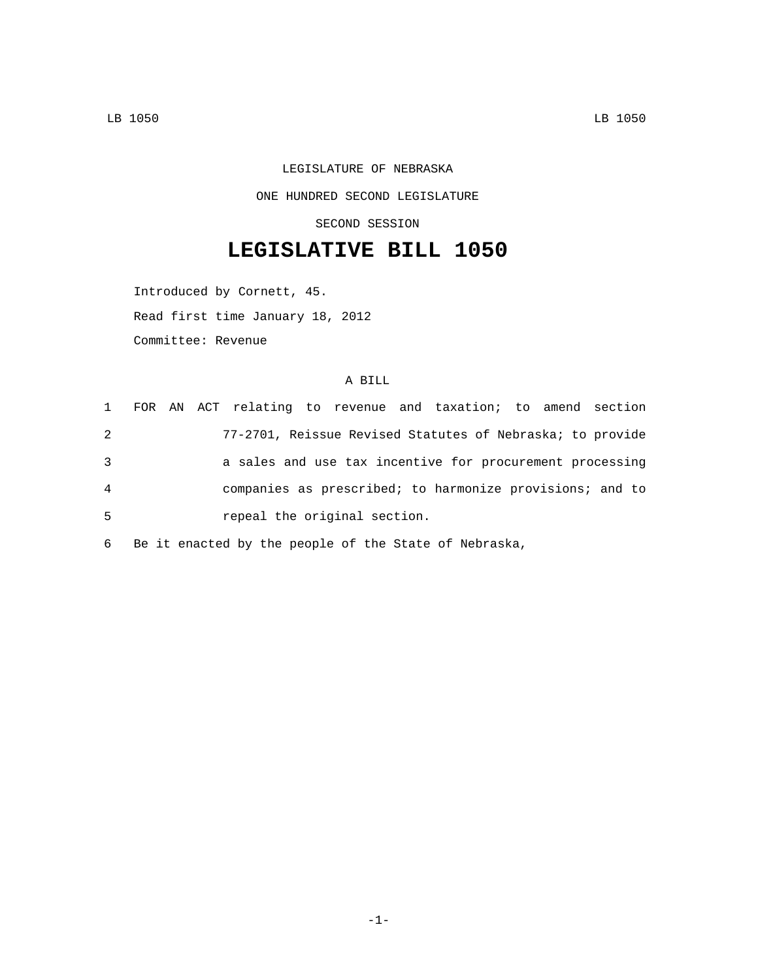## LEGISLATURE OF NEBRASKA ONE HUNDRED SECOND LEGISLATURE SECOND SESSION

## **LEGISLATIVE BILL 1050**

Introduced by Cornett, 45.

Read first time January 18, 2012

Committee: Revenue

## A BILL

|                |  |                              |  | 1 FOR AN ACT relating to revenue and taxation; to amend section |  |  |
|----------------|--|------------------------------|--|-----------------------------------------------------------------|--|--|
| $\overline{2}$ |  |                              |  | 77-2701, Reissue Revised Statutes of Nebraska; to provide       |  |  |
| 3              |  |                              |  | a sales and use tax incentive for procurement processing        |  |  |
| 4              |  |                              |  | companies as prescribed; to harmonize provisions; and to        |  |  |
| 5              |  | repeal the original section. |  |                                                                 |  |  |

6 Be it enacted by the people of the State of Nebraska,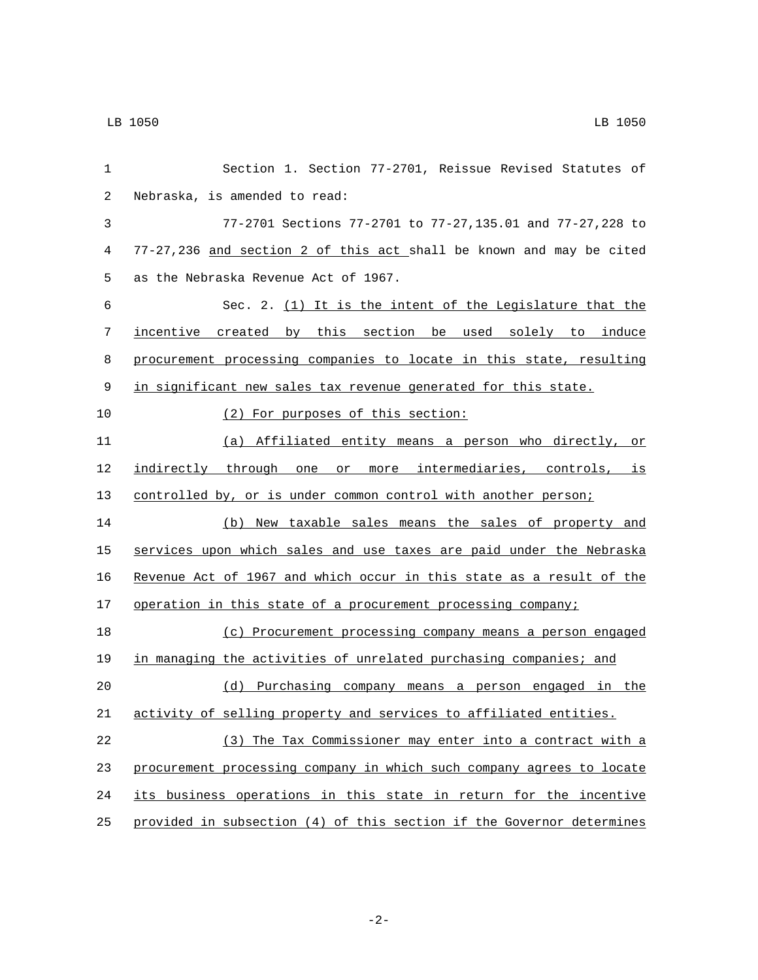| 1     | Section 1. Section 77-2701, Reissue Revised Statutes of               |
|-------|-----------------------------------------------------------------------|
| 2     | Nebraska, is amended to read:                                         |
| 3     | 77-2701 Sections 77-2701 to 77-27,135.01 and 77-27,228 to             |
| 4     | 77-27,236 and section 2 of this act shall be known and may be cited   |
| 5     | as the Nebraska Revenue Act of 1967.                                  |
| 6     | Sec. 2. (1) It is the intent of the Legislature that the              |
| 7     | incentive created by this section be used solely to induce            |
| 8     | procurement processing companies to locate in this state, resulting   |
| $\,9$ | in significant new sales tax revenue generated for this state.        |
| 10    | (2) For purposes of this section:                                     |
| 11    | (a) Affiliated entity means a person who directly, or                 |
| 12    | indirectly through one or more intermediaries, controls, is           |
| 13    | controlled by, or is under common control with another person;        |
| 14    | (b) New taxable sales means the sales of property and                 |
| 15    | services upon which sales and use taxes are paid under the Nebraska   |
| 16    | Revenue Act of 1967 and which occur in this state as a result of the  |
| 17    | operation in this state of a procurement processing company;          |
| 18    | (c) Procurement processing company means a person engaged             |
| 19    | in managing the activities of unrelated purchasing companies; and     |
| 20    | (d) Purchasing company means a person engaged in the                  |
| 21    | activity of selling property and services to affiliated entities.     |
| 22    | (3) The Tax Commissioner may enter into a contract with a             |
| 23    | procurement processing company in which such company agrees to locate |
| 24    | its business operations in this state in return for the incentive     |
| 25    | provided in subsection (4) of this section if the Governor determines |